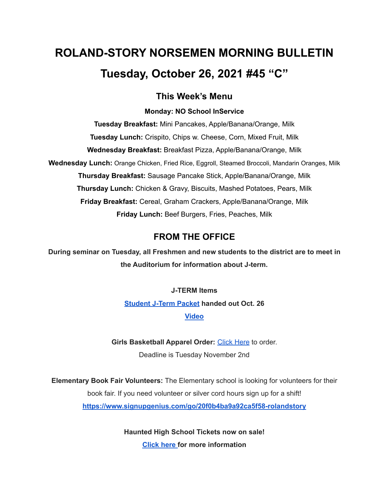# **ROLAND-STORY NORSEMEN MORNING BULLETIN Tuesday, October 26, 2021 #45 "C"**

### **This Week's Menu**

#### **Monday: NO School InService**

**Tuesday Breakfast:** Mini Pancakes, Apple/Banana/Orange, Milk **Tuesday Lunch:** Crispito, Chips w. Cheese, Corn, Mixed Fruit, Milk **Wednesday Breakfast:** Breakfast Pizza, Apple/Banana/Orange, Milk **Wednesday Lunch:** Orange Chicken, Fried Rice, Eggroll, Steamed Broccoli, Mandarin Oranges, Milk **Thursday Breakfast:** Sausage Pancake Stick, Apple/Banana/Orange, Milk **Thursday Lunch:** Chicken & Gravy, Biscuits, Mashed Potatoes, Pears, Milk **Friday Breakfast:** Cereal, Graham Crackers, Apple/Banana/Orange, Milk **Friday Lunch:** Beef Burgers, Fries, Peaches, Milk

## **FROM THE OFFICE**

**During seminar on Tuesday, all Freshmen and new students to the district are to meet in the Auditorium for information about J-term.**

# **J-TERM Items [Student](https://drive.google.com/drive/folders/1nEJgvb2IZR4Ez_uZH_N4NHZuXkJa86EO) J-Term Packet handed out Oct. 26 [Video](https://drive.google.com/drive/folders/1mEUee9ErO9oW_ObU98gi46-bT7GQCZ7Q)**

**Girls Basketball Apparel Order:** [Click](https://rsgbb21.itemorder.com/shop/sale/) Here to order.

Deadline is Tuesday November 2nd

**Elementary Book Fair Volunteers:** The Elementary school is looking for volunteers for their book fair. If you need volunteer or silver cord hours sign up for a shift! **<https://www.signupgenius.com/go/20f0b4ba9a92ca5f58-rolandstory>**

> **Haunted High School Tickets now on sale! [Click](https://drive.google.com/file/d/1QQXVvjnwkvK4mkS1QKdNp9LhOMZRHqKl/view?usp=sharing) here for more information**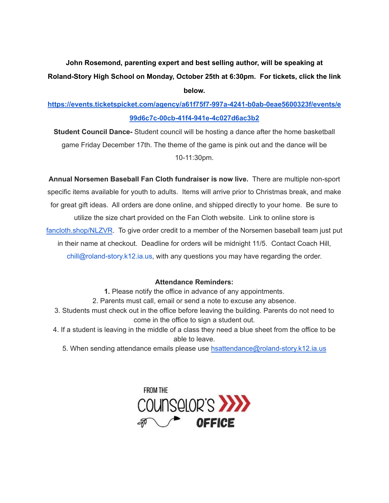# **John Rosemond, parenting expert and best selling author, will be speaking at Roland-Story High School on Monday, October 25th at 6:30pm. For tickets, click the link below.**

## **[https://events.ticketspicket.com/agency/a61f75f7-997a-4241-b0ab-0eae5600323f/events/e](https://events.ticketspicket.com/agency/a61f75f7-997a-4241-b0ab-0eae5600323f/events/e99d6c7c-00cb-41f4-941e-4c027d6ac3b2) [99d6c7c-00cb-41f4-941e-4c027d6ac3b2](https://events.ticketspicket.com/agency/a61f75f7-997a-4241-b0ab-0eae5600323f/events/e99d6c7c-00cb-41f4-941e-4c027d6ac3b2)**

**Student Council Dance-** Student council will be hosting a dance after the home basketball game Friday December 17th. The theme of the game is pink out and the dance will be 10-11:30pm.

**Annual Norsemen Baseball Fan Cloth fundraiser is now live.** There are multiple non-sport specific items available for youth to adults. Items will arrive prior to Christmas break, and make for great gift ideas. All orders are done online, and shipped directly to your home. Be sure to utilize the size chart provided on the Fan Cloth website. Link to online store is [fancloth.shop/NLZVR](http://fancloth.shop/NLZVR). To give order credit to a member of the Norsemen baseball team just put in their name at checkout. Deadline for orders will be midnight 11/5. Contact Coach Hill, chill@roland-story.k12.ia.us, with any questions you may have regarding the order.

#### **Attendance Reminders:**

**1.** Please notify the office in advance of any appointments.

2. Parents must call, email or send a note to excuse any absence.

3. Students must check out in the office before leaving the building. Parents do not need to come in the office to sign a student out.

4. If a student is leaving in the middle of a class they need a blue sheet from the office to be able to leave.

5. When sending attendance emails please use [hsattendance@roland-story.k12.ia.us](mailto:hsattendance@roland-story.k12.ia.us)

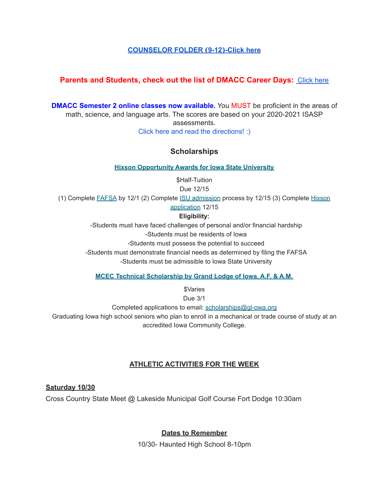#### **[COUNSELOR](https://docs.google.com/document/d/1vmwczNPbDzXe9vFaG5LJMQ7NYDv-i4oQJHybqA65TUc/edit?usp=sharing) FOLDER (9-12)-Click here**

#### **Parents and Students, check out the list of DMACC Career Days: [Click](https://www.dmacc.edu/careerdiscovery/Pages/careerdiscovery.aspx) here**

**DMACC Semester 2 online classes now available.** You MUST be proficient in the areas of math, science, and language arts. The scores are based on your 2020-2021 ISASP assessments. Click here and read the [directions!](https://docs.google.com/document/d/1DwEmgrLuBDkU4bqokTEqzimj1v3EFqhLcx5OUZTQjsg/edit?usp=sharing) :)

#### **Scholarships**

**Hixson [Opportunity](https://www.hixson.dso.iastate.edu/application/online-application-process) Awards for Iowa State University**

\$Half-Tuition Due 12/15

(1) Complete [FAFSA](https://studentaid.gov/h/apply-for-aid/fafsa) by 12/1 (2) Complete ISU [admission](https://apps.admissions.iastate.edu/apply/online/) process by 12/15 (3) Complete [Hixson](https://apps-dso.sws.iastate.edu/scholarship/hixson/app)

[application](https://apps-dso.sws.iastate.edu/scholarship/hixson/app) 12/15

#### **Eligibility:**

-Students must have faced challenges of personal and/or financial hardship

-Students must be residents of Iowa

-Students must possess the potential to succeed

-Students must demonstrate financial needs as determined by filing the FAFSA -Students must be admissible to Iowa State University

**MCEC Technical [Scholarship](https://grandlodgeofiowa.org/wp-content/uploads/2021/10/MCEC_ScholarshipApplication_2022.pdf) by Grand Lodge of Iowa, A.F. & A.M.**

*<u>SVaries</u>* 

Due 3/1

Completed applications to email: scholarships@gl-owa.org

Graduating Iowa high school seniors who plan to enroll in a mechanical or trade course of study at an accredited Iowa Community College.

#### **ATHLETIC ACTIVITIES FOR THE WEEK**

**Saturday 10/30**

Cross Country State Meet @ Lakeside Municipal Golf Course Fort Dodge 10:30am

#### **Dates to Remember**

10/30- Haunted High School 8-10pm